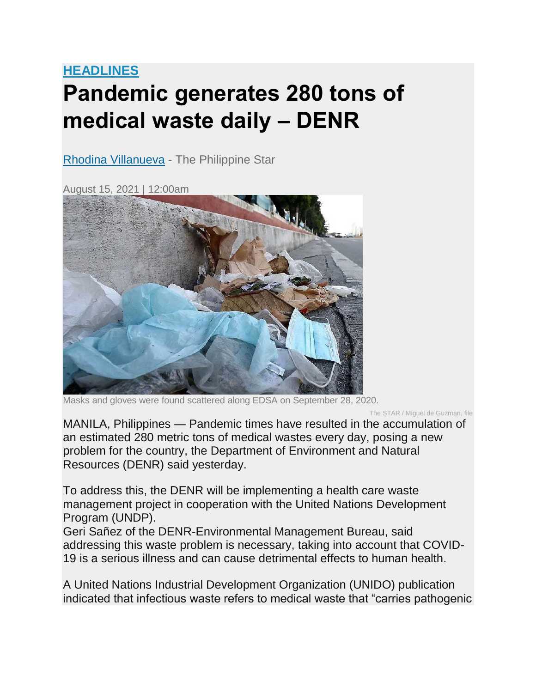## **[HEADLINES](https://www.philstar.com/headlines) Pandemic generates 280 tons of medical waste daily – DENR**

[Rhodina Villanueva](https://www.philstar.com/authors/1685860/rhodina-villanueva) - The Philippine Star

August 15, 2021 | 12:00am

Masks and gloves were found scattered along EDSA on September 28, 2020.

The STAR / Miguel de Guzman, file

MANILA, Philippines — Pandemic times have resulted in the accumulation of an estimated 280 metric tons of medical wastes every day, posing a new problem for the country, the Department of Environment and Natural Resources (DENR) said yesterday.

To address this, the DENR will be implementing a health care waste management project in cooperation with the United Nations Development Program (UNDP).

Geri Sañez of the DENR-Environmental Management Bureau, said addressing this waste problem is necessary, taking into account that COVID-19 is a serious illness and can cause detrimental effects to human health.

A United Nations Industrial Development Organization (UNIDO) publication indicated that infectious waste refers to medical waste that "carries pathogenic